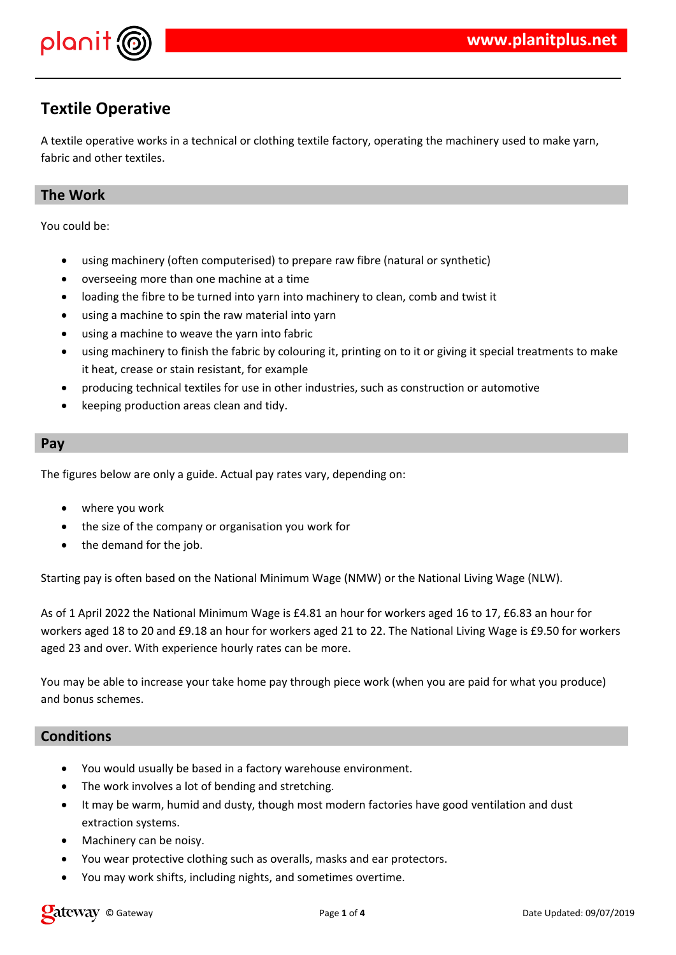

## **Textile Operative**

A textile operative works in a technical or clothing textile factory, operating the machinery used to make yarn, fabric and other textiles.

## **The Work**

You could be:

- using machinery (often computerised) to prepare raw fibre (natural or synthetic)
- overseeing more than one machine at a time
- loading the fibre to be turned into yarn into machinery to clean, comb and twist it
- using a machine to spin the raw material into yarn
- using a machine to weave the yarn into fabric
- using machinery to finish the fabric by colouring it, printing on to it or giving it special treatments to make it heat, crease or stain resistant, for example
- producing technical textiles for use in other industries, such as construction or automotive
- keeping production areas clean and tidy.

#### **Pay**

The figures below are only a guide. Actual pay rates vary, depending on:

- where you work
- the size of the company or organisation you work for
- the demand for the job.

Starting pay is often based on the National Minimum Wage (NMW) or the National Living Wage (NLW).

As of 1 April 2022 the National Minimum Wage is £4.81 an hour for workers aged 16 to 17, £6.83 an hour for workers aged 18 to 20 and £9.18 an hour for workers aged 21 to 22. The National Living Wage is £9.50 for workers aged 23 and over. With experience hourly rates can be more.

You may be able to increase your take home pay through piece work (when you are paid for what you produce) and bonus schemes.

### **Conditions**

- You would usually be based in a factory warehouse environment.
- The work involves a lot of bending and stretching.
- It may be warm, humid and dusty, though most modern factories have good ventilation and dust extraction systems.
- Machinery can be noisy.
- You wear protective clothing such as overalls, masks and ear protectors.
- You may work shifts, including nights, and sometimes overtime.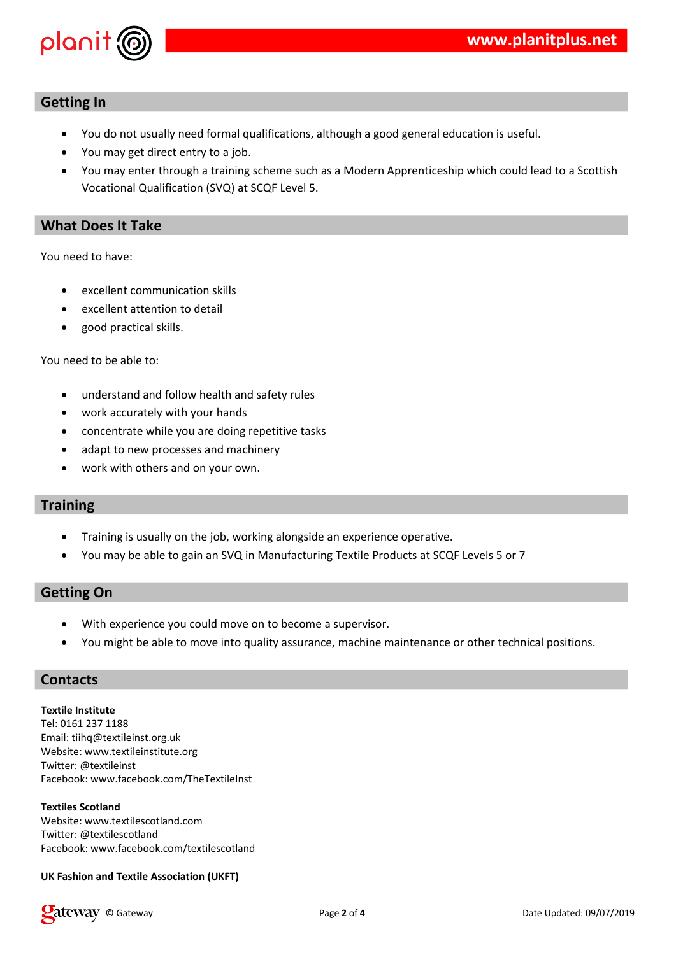

#### **Getting In**

- You do not usually need formal qualifications, although a good general education is useful.
- You may get direct entry to a job.
- You may enter through a training scheme such as a Modern Apprenticeship which could lead to a Scottish Vocational Qualification (SVQ) at SCQF Level 5.

#### **What Does It Take**

You need to have:

- excellent communication skills
- excellent attention to detail
- good practical skills.

You need to be able to:

- understand and follow health and safety rules
- work accurately with your hands
- concentrate while you are doing repetitive tasks
- adapt to new processes and machinery
- work with others and on your own.

#### **Training**

- Training is usually on the job, working alongside an experience operative.
- You may be able to gain an SVQ in Manufacturing Textile Products at SCQF Levels 5 or 7

#### **Getting On**

- With experience you could move on to become a supervisor.
- You might be able to move into quality assurance, machine maintenance or other technical positions.

#### **Contacts**

**Textile Institute** Tel: 0161 237 1188 Email: tiihq@textileinst.org.uk Website: www.textileinstitute.org Twitter: @textileinst Facebook: www.facebook.com/TheTextileInst

#### **Textiles Scotland**

Website: www.textilescotland.com Twitter: @textilescotland Facebook: www.facebook.com/textilescotland

#### **UK Fashion and Textile Association (UKFT)**

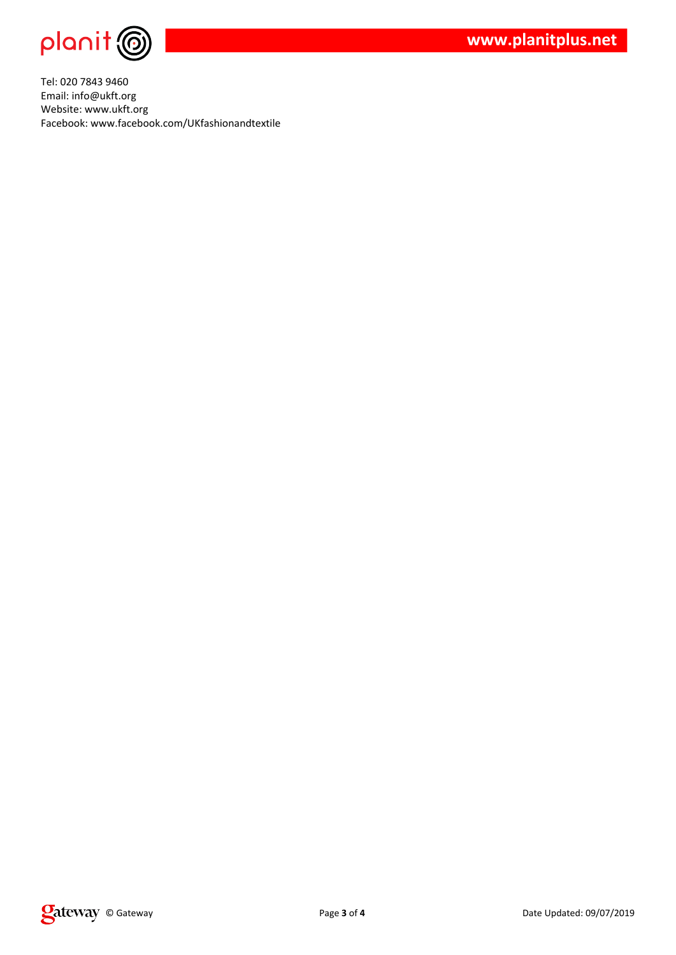

**www.planitplus.net**

Tel: 020 7843 9460 Email: info@ukft.org Website: www.ukft.org Facebook: www.facebook.com/UKfashionandtextile